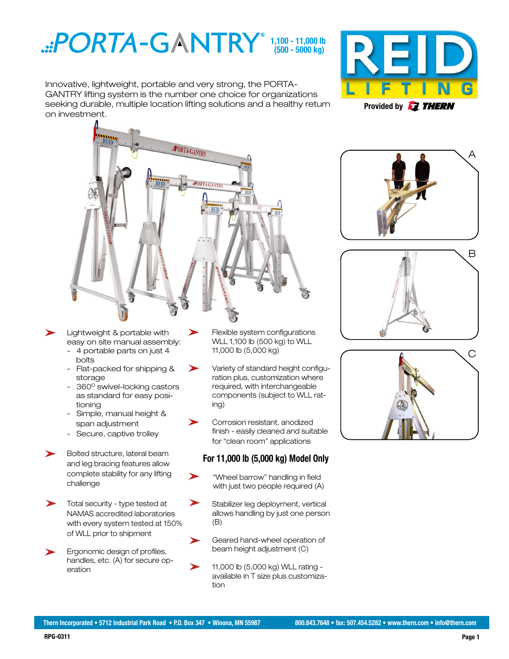

Innovative, lightweight, portable and very strong, the PORTA-GANTRY lifting system is the number one choice for organizations seeking durable, multiple location lifting solutions and a healthy return on investment.





➤



- easy on site manual assembly: - 4 portable parts on just 4
- bolts - Flat-packed for shipping &
- storage 360° swivel-locking castors as standard for easy posi-
- tioning - Simple, manual height &
- span adjustment
- Secure, captive trolley
- Bolted structure, lateral beam and leg bracing features allow complete stability for any lifting challenge
- Total security type tested at NAMAS accredited laboratories with every system tested at 150% of WLL prior to shipment
- Ergonomic design of profiles, handles, etc. (A) for secure operation
- Flexible system configurations WLL 1,100 lb (500 kg) to WLL 11,000 lb (5,000 kg)
- Variety of standard height configuration plus, customization where required, with interchangeable components (subject to WLL rating)
- Corrosion resistant, anodized finish - easily cleaned and suitable for "clean room" applications

### **For 11,000 lb (5,000 kg) Model Only**

- "Wheel barrow" handling in field with just two people required (A)
- ➤ Stabilizer leg deployment, vertical allows handling by just one person (B)
- Geared hand-wheel operation of beam height adjustment (C)
- 11,000 lb (5,000 kg) WLL rating available in T size plus customization





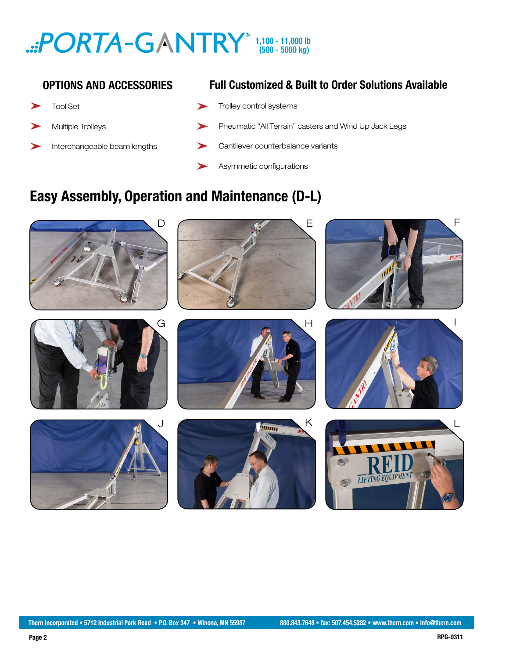## **(500 - 5000 kg) 1,100 - 11,000 lb**

### **OPTIONS AND ACCESSORIES**

- Tool Set
- Multiple Trolleys
- Interchangeable beam lengths

## **Full Customized & Built to Order Solutions Available**

- Trolley control systems
- Pneumatic "All Terrain" casters and Wind Up Jack Legs
- Cantilever counterbalance variants
- Asymmetic configurations

# **Easy Assembly, Operation and Maintenance (D-L)**